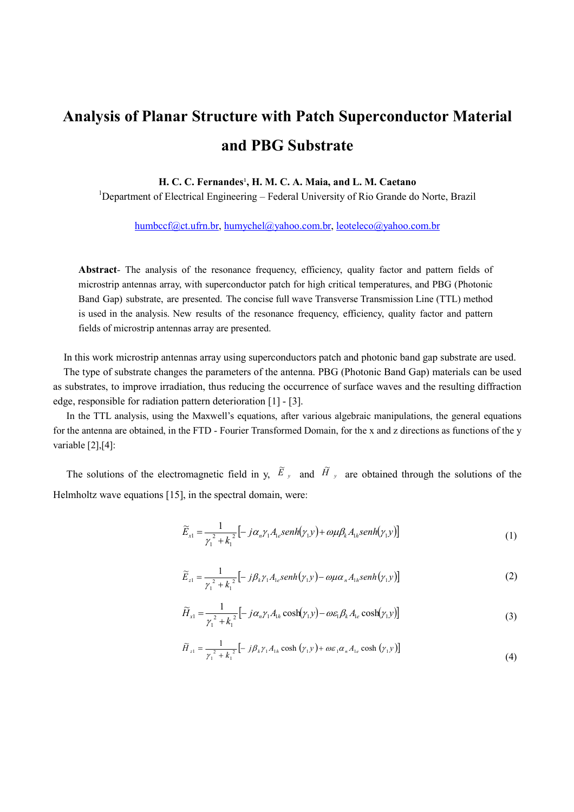## Analysis of Planar Structure with Patch Superconductor Material and PBG Substrate

## H. C. C. Fernandes<sup>1</sup>, H. M. C. A. Maia, and L. M. Caetano

<sup>1</sup>Department of Electrical Engineering – Federal University of Rio Grande do Norte, Brazil

humbccf@ct.ufrn.br, humychel@yahoo.com.br, leoteleco@yahoo.com.br

Abstract- The analysis of the resonance frequency, efficiency, quality factor and pattern fields of microstrip antennas array, with superconductor patch for high critical temperatures, and PBG (Photonic Band Gap) substrate, are presented. The concise full wave Transverse Transmission Line (TTL) method is used in the analysis. New results of the resonance frequency, efficiency, quality factor and pattern fields of microstrip antennas array are presented.

In this work microstrip antennas array using superconductors patch and photonic band gap substrate are used.

 The type of substrate changes the parameters of the antenna. PBG (Photonic Band Gap) materials can be used as substrates, to improve irradiation, thus reducing the occurrence of surface waves and the resulting diffraction edge, responsible for radiation pattern deterioration [1] - [3].

In the TTL analysis, using the Maxwell's equations, after various algebraic manipulations, the general equations for the antenna are obtained, in the FTD - Fourier Transformed Domain, for the x and z directions as functions of the y variable [2],[4]:

The solutions of the electromagnetic field in y,  $\tilde{E}_y$  and  $\tilde{H}_y$  are obtained through the solutions of the Helmholtz wave equations [15], in the spectral domain, were:

$$
\widetilde{E}_{x1} = \frac{1}{\gamma_1^2 + k_1^2} \left[ -j\alpha_n \gamma_1 A_{1e} \operatorname{sech}(\gamma_1 y) + \omega \mu \beta_k A_{1h} \operatorname{sech}(\gamma_1 y) \right] \tag{1}
$$

$$
\widetilde{E}_{z1} = \frac{1}{\gamma_1^2 + k_1^2} \left[ -j\beta_k \gamma_1 A_{1e} \operatorname{senh}(\gamma_1 y) - \omega \mu \alpha_n A_{1h} \operatorname{senh}(\gamma_1 y) \right]
$$
(2)

$$
\widetilde{H}_{x1} = \frac{1}{\gamma_1^2 + k_1^2} \left[ -j\alpha_n \gamma_1 A_{1h} \cosh(\gamma_1 y) - \omega \varepsilon_1 \beta_k A_{1e} \cosh(\gamma_1 y) \right]
$$
(3)

$$
\widetilde{H}_{z1} = \frac{1}{\gamma_1^2 + k_1^2} \left[ -j\beta_k \gamma_1 A_{1h} \cosh\left(\gamma_1 y\right) + \omega \varepsilon_1 \alpha_n A_{1e} \cosh\left(\gamma_1 y\right) \right]
$$
\n(4)